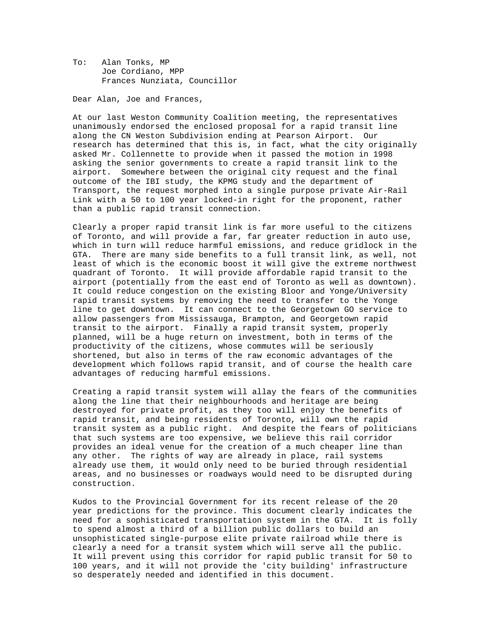To: Alan Tonks, MP Joe Cordiano, MPP Frances Nunziata, Councillor

Dear Alan, Joe and Frances,

At our last Weston Community Coalition meeting, the representatives unanimously endorsed the enclosed proposal for a rapid transit line along the CN Weston Subdivision ending at Pearson Airport. Our research has determined that this is, in fact, what the city originally asked Mr. Collennette to provide when it passed the motion in 1998 asking the senior governments to create a rapid transit link to the airport. Somewhere between the original city request and the final outcome of the IBI study, the KPMG study and the department of Transport, the request morphed into a single purpose private Air-Rail Link with a 50 to 100 year locked-in right for the proponent, rather than a public rapid transit connection.

Clearly a proper rapid transit link is far more useful to the citizens of Toronto, and will provide a far, far greater reduction in auto use, which in turn will reduce harmful emissions, and reduce gridlock in the GTA. There are many side benefits to a full transit link, as well, not least of which is the economic boost it will give the extreme northwest quadrant of Toronto. It will provide affordable rapid transit to the airport (potentially from the east end of Toronto as well as downtown). It could reduce congestion on the existing Bloor and Yonge/University rapid transit systems by removing the need to transfer to the Yonge line to get downtown. It can connect to the Georgetown GO service to allow passengers from Mississauga, Brampton, and Georgetown rapid transit to the airport. Finally a rapid transit system, properly planned, will be a huge return on investment, both in terms of the productivity of the citizens, whose commutes will be seriously shortened, but also in terms of the raw economic advantages of the development which follows rapid transit, and of course the health care advantages of reducing harmful emissions.

Creating a rapid transit system will allay the fears of the communities along the line that their neighbourhoods and heritage are being destroyed for private profit, as they too will enjoy the benefits of rapid transit, and being residents of Toronto, will own the rapid transit system as a public right. And despite the fears of politicians that such systems are too expensive, we believe this rail corridor provides an ideal venue for the creation of a much cheaper line than any other. The rights of way are already in place, rail systems already use them, it would only need to be buried through residential areas, and no businesses or roadways would need to be disrupted during construction.

Kudos to the Provincial Government for its recent release of the 20 year predictions for the province. This document clearly indicates the need for a sophisticated transportation system in the GTA. It is folly to spend almost a third of a billion public dollars to build an unsophisticated single-purpose elite private railroad while there is clearly a need for a transit system which will serve all the public. It will prevent using this corridor for rapid public transit for 50 to 100 years, and it will not provide the 'city building' infrastructure so desperately needed and identified in this document.